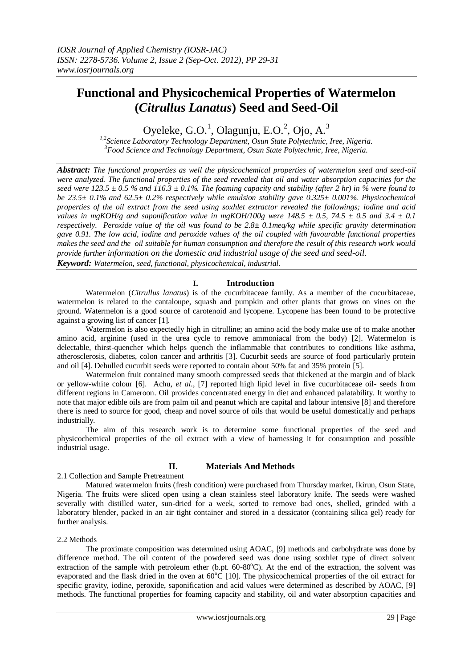# **Functional and Physicochemical Properties of Watermelon (***Citrullus Lanatus***) Seed and Seed-Oil**

Oyeleke, G.O.<sup>1</sup>, Olagunju, E.O.<sup>2</sup>, Ojo, A.<sup>3</sup>

*1,2Science Laboratory Technology Department, Osun State Polytechnic, Iree, Nigeria. <sup>3</sup>Food Science and Technology Department, Osun State Polytechnic, Iree, Nigeria.*

*Abstract: The functional properties as well the physicochemical properties of watermelon seed and seed-oil were analyzed. The functional properties of the seed revealed that oil and water absorption capacities for the seed were 123.5 ± 0.5 % and 116.3 ± 0.1%. The foaming capacity and stability (after 2 hr) in % were found to be 23.5± 0.1% and 62.5± 0.2% respectively while emulsion stability gave 0.325± 0.001%. Physicochemical properties of the oil extract from the seed using soxhlet extractor revealed the followings; iodine and acid values in mgKOH/g and saponification value in mgKOH/100g were 148.5*  $\pm$  0.5, 74.5  $\pm$  0.5 *and 3.4*  $\pm$  0.1 *respectively. Peroxide value of the oil was found to be 2.8± 0.1meq/kg while specific gravity determination gave 0.91. The low acid, iodine and peroxide values of the oil coupled with favourable functional properties makes the seed and the oil suitable for human consumption and therefore the result of this research work would provide further information on the domestic and industrial usage of the seed and seed-oil. Keyword: Watermelon, seed, functional, physicochemical, industrial.*

## **I. Introduction**

Watermelon (*Citrullus lanatus*) is of the cucurbitaceae family. As a member of the cucurbitaceae, watermelon is related to the cantaloupe, squash and pumpkin and other plants that grows on vines on the ground. Watermelon is a good source of carotenoid and lycopene. Lycopene has been found to be protective against a growing list of cancer [1].

 Watermelon is also expectedly high in citrulline; an amino acid the body make use of to make another amino acid, arginine (used in the urea cycle to remove ammoniacal from the body) [2]. Watermelon is delectable, thirst-quencher which helps quench the inflammable that contributes to conditions like asthma, atherosclerosis, diabetes, colon cancer and arthritis [3]. Cucurbit seeds are source of food particularly protein and oil [4]. Dehulled cucurbit seeds were reported to contain about 50% fat and 35% protein [5].

 Watermelon fruit contained many smooth compressed seeds that thickened at the margin and of black or yellow-white colour [6]. Achu, *et al*., [7] reported high lipid level in five cucurbitaceae oil- seeds from different regions in Cameroon. Oil provides concentrated energy in diet and enhanced palatability. It worthy to note that major edible oils are from palm oil and peanut which are capital and labour intensive [8] and therefore there is need to source for good, cheap and novel source of oils that would be useful domestically and perhaps industrially.

 The aim of this research work is to determine some functional properties of the seed and physicochemical properties of the oil extract with a view of harnessing it for consumption and possible industrial usage.

# 2.1 Collection and Sample Pretreatment

#### Matured watermelon fruits (fresh condition) were purchased from Thursday market, Ikirun, Osun State, Nigeria. The fruits were sliced open using a clean stainless steel laboratory knife. The seeds were washed severally with distilled water, sun-dried for a week, sorted to remove bad ones, shelled, grinded with a laboratory blender, packed in an air tight container and stored in a dessicator (containing silica gel) ready for further analysis.

**II. Materials And Methods**

### 2.2 Methods

The proximate composition was determined using AOAC, [9] methods and carbohydrate was done by difference method. The oil content of the powdered seed was done using soxhlet type of direct solvent extraction of the sample with petroleum ether (b.pt.  $60-80^{\circ}$ C). At the end of the extraction, the solvent was evaporated and the flask dried in the oven at 60°C [10]. The physicochemical properties of the oil extract for specific gravity, iodine, peroxide, saponification and acid values were determined as described by AOAC, [9] methods. The functional properties for foaming capacity and stability, oil and water absorption capacities and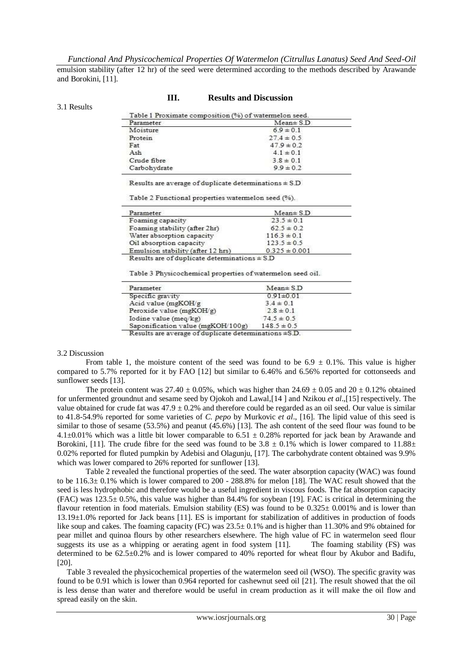*Functional And Physicochemical Properties Of Watermelon (Citrullus Lanatus) Seed And Seed-Oil* emulsion stability (after 12 hr) of the seed were determined according to the methods described by Arawande and Borokini, [11].

#### **III. Results and Discussion**

| Parameter    | $Mean \pm S.D$ |
|--------------|----------------|
| Moisture     | $6.9 \pm 0.1$  |
| Protein      | $27.4 \pm 0.5$ |
| Fat          | $47.9 \pm 0.2$ |
| Ash          | $4.1 \pm 0.1$  |
| Crude fibre  | $3.8 \pm 0.1$  |
| Carbohydrate | $9.9 \pm 0.2$  |

Results are average of duplicate determinations  $\pm$  S.D

Table 2 Functional properties watermelon seed (%).

| Parameter                                         | $Mean \pm S.D$    |  |
|---------------------------------------------------|-------------------|--|
| Foaming capacity                                  | $23.5 \pm 0.1$    |  |
| Foaming stability (after 2hr)                     | $62.5 \pm 0.2$    |  |
| Water absorption capacity                         | $116.3 \pm 0.1$   |  |
| Oil absorption capacity                           | $123.5 \pm 0.5$   |  |
| Emulsion stability (after 12 hrs)                 | $0.325 \pm 0.001$ |  |
| Results are of duplicate determinations $\pm$ S D |                   |  |

Table 3 Physicochemical properties of watermelon seed oil.

| Parameter                                                  | $Mean \pm S.D$  |  |
|------------------------------------------------------------|-----------------|--|
| Specific gravity                                           | $0.91 \pm 0.01$ |  |
| Acid value (mgKOH/g)                                       | $3.4 \pm 0.1$   |  |
| Peroxide value (mgKOH/g)                                   | $2.8 \pm 0.1$   |  |
| Iodine value (meq/kg)                                      | $74.5 \pm 0.5$  |  |
| Saponification value (mgKOH/100g)                          | $148.5 \pm 0.5$ |  |
| Results are average of duplicate determinations $\pm$ S.D. |                 |  |

#### 3.2 Discussion

From table 1, the moisture content of the seed was found to be 6.9  $\pm$  0.1%. This value is higher compared to 5.7% reported for it by FAO [12] but similar to 6.46% and 6.56% reported for cottonseeds and sunflower seeds [13].

The protein content was  $27.40 \pm 0.05\%$ , which was higher than  $24.69 \pm 0.05$  and  $20 \pm 0.12\%$  obtained for unfermented groundnut and sesame seed by Ojokoh and Lawal,[14 ] and Nzikou *et al*.,[15] respectively. The value obtained for crude fat was  $47.9 \pm 0.2\%$  and therefore could be regarded as an oil seed. Our value is similar to 41.8-54.9% reported for some varieties of *C. pepo* by Murkovic *et al*., [16]. The lipid value of this seed is similar to those of sesame (53.5%) and peanut (45.6%) [13]. The ash content of the seed flour was found to be 4.1 $\pm$ 0.01% which was a little bit lower comparable to 6.51  $\pm$  0.28% reported for jack bean by Arawande and Borokini, [11]. The crude fibre for the seed was found to be  $3.8 \pm 0.1\%$  which is lower compared to  $11.88 \pm 1.88 \pm 0.1\%$ 0.02% reported for fluted pumpkin by Adebisi and Olagunju, [17]. The carbohydrate content obtained was 9.9% which was lower compared to 26% reported for sunflower [13].

 Table 2 revealed the functional properties of the seed. The water absorption capacity (WAC) was found to be 116.3± 0.1% which is lower compared to 200 - 288.8% for melon [18]. The WAC result showed that the seed is less hydrophobic and therefore would be a useful ingredient in viscous foods. The fat absorption capacity (FAC) was  $123.5\pm 0.5\%$ , this value was higher than 84.4% for soybean [19]. FAC is critical in determining the flavour retention in food materials. Emulsion stability (ES) was found to be  $0.325 \pm 0.001\%$  and is lower than 13.19±1.0% reported for Jack beans [11]. ES is important for stabilization of additives in production of foods like soup and cakes. The foaming capacity (FC) was  $23.5\pm 0.1\%$  and is higher than 11.30% and 9% obtained for pear millet and quinoa flours by other researchers elsewhere. The high value of FC in watermelon seed flour suggests its use as a whipping or aerating agent in food system [11]. The foaming stability (FS) was determined to be 62.5±0.2% and is lower compared to 40% reported for wheat flour by Akubor and Badifu, [20].

 Table 3 revealed the physicochemical properties of the watermelon seed oil (WSO). The specific gravity was found to be 0.91 which is lower than 0.964 reported for cashewnut seed oil [21]. The result showed that the oil is less dense than water and therefore would be useful in cream production as it will make the oil flow and spread easily on the skin.